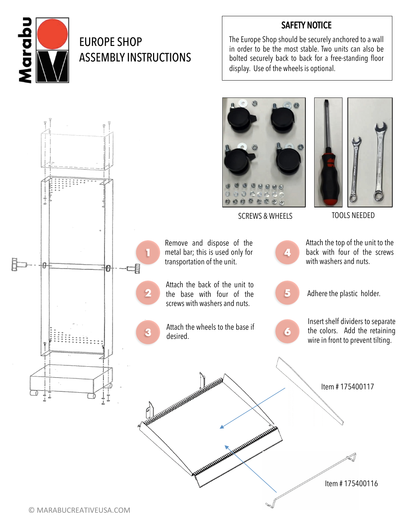

## EUROPE SHOP ASSEMBLY INSTRUCTIONS

## SAFETY NOTICE

The Europe Shop should be securely anchored to a wall in order to be the most stable. Two units can also be bolted securely back to back for a free-standing floor display. Use of the wheels is optional.